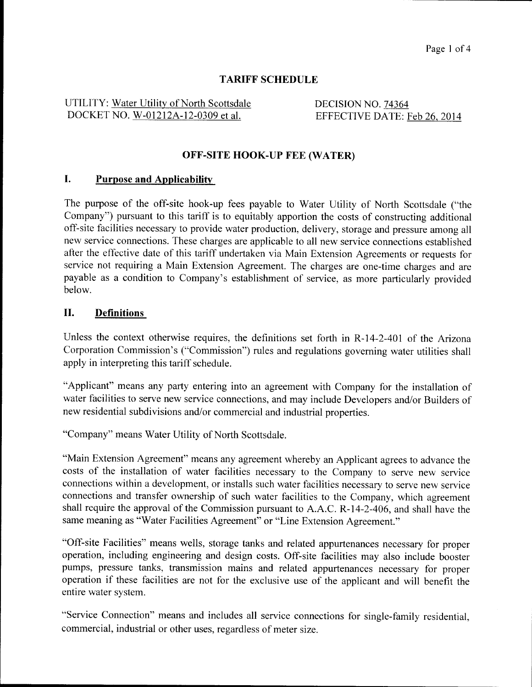# **TARIFF SCHEDULE**

UTILITY: Water Utility of North Scottsdale DOCKET NO. W-01212A-12-0309 et al.

DECISION NO. 74364 EFFECTIVE DATE: Feb 26, 2014

### **OFF-SITE HOOK-UP FEE (WATER)**

## **I. Purpose and Applicabilitv**

The purpose of the off-site hook-up fees payable to Water Utility of North Scottsdale ("the Company") pursuant to this tariff is to equitably apportion the costs of constructing additional off-site facilities necessary to provide water production, delivery, storage and pressure among all new service connections. These charges are applicable to all new service connections established after the effective date of this tariff undertaken via Main Extension Agreements or requests for service not requiring a Main Extension Agreement. The charges are one-time charges and are payable as a condition to Company's establishment of service, as more particularly provided below.

#### **11. Definitions**

Unless the context otherwise requires, the definitions set forth in R-14-2-401 of the Arizona Corporation Commission's ("Commission") rules and regulations governing water utilities shall apply in interpreting this tariff schedule.

"Applicant" means any party entering into an agreement with Company for the installation of water facilities to serve new service connections, and may include Developers and/or Builders of new residential subdivisions and/or commercial and industrial properties.

"Company" means Water Utility of North Scottsdale.

"Main Extension Agreement" means any agreement whereby an Applicant agrees to advance the costs of the installation of water facilities necessary to the Company to serve new service connections within a development, or installs such water facilities necessary to serve new service connections and transfer ownership of such water facilities to the Company, which agreement shall require the approval of the Commission pursuant to A.A.C. R-14-2-406, and shall have the same meaning as "Water Facilities Agreement" or "Line Extension Agreement."

"Off-site Facilities" means wells, storage tanks and related appurtenances necessary for proper operation, including engineering and design costs. Off-site facilities may also include booster pumps, pressure tanks, transmission mains and related appurtenances necessary for proper operation if these facilities are not for the exclusive use of the applicant and will benefit the entire water system.

"Service Connection" means and includes all service connections for single-family residential, commercial, industrial or other uses, regardless of meter size.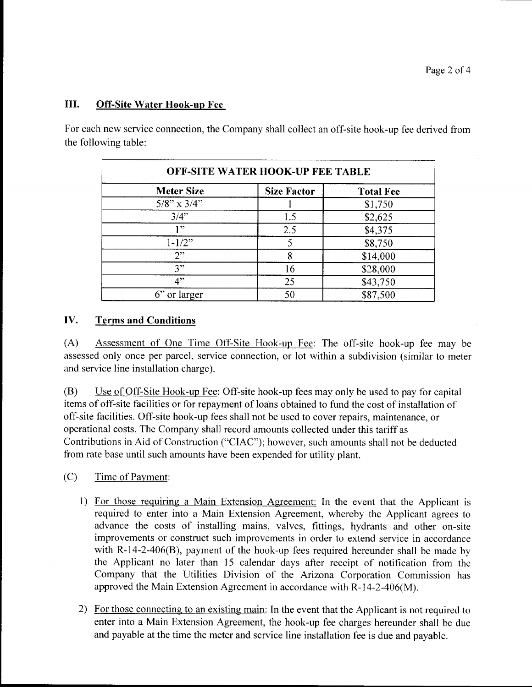#### **111.** Off-Site Water Hook-up Fee

For each new service connection, the Company shall collect an off-site hook-up fee derived from the following table:

| <b>OFF-SITE WATER HOOK-UP FEE TABLE</b> |                    |                  |  |  |
|-----------------------------------------|--------------------|------------------|--|--|
| <b>Meter Size</b>                       | <b>Size Factor</b> | <b>Total Fee</b> |  |  |
| $5/8$ " x $3/4$ "                       |                    | \$1,750          |  |  |
| $3/4$ "                                 | 1.5                | \$2,625          |  |  |
| 199                                     | 2.5                | \$4,375          |  |  |
| $1 - 1/2$ "                             |                    | \$8,750          |  |  |
| 2"                                      | 8                  | \$14,000         |  |  |
| 3"                                      | 16                 | \$28,000         |  |  |
| 4"                                      | 25                 | \$43,750         |  |  |
| $6$ " or larger                         | 50                 | \$87,500         |  |  |

#### **Iv. Terms and Conditions**

(A) Assessment of One Time Off-site Hook-up Fee: The off-site hook-up fee may be assessed only once per parcel, service connection, or lot within a subdivision (similar to meter and service line installation charge).

(B) Use of Off-Site Hook-up Fee: Off-site hook-up fees may only be used to pay for capital items of off-site facilities or for repayment of loans obtained to fund the cost of installation of off-site facilities. Off-site hook-up fees shall not be used to cover repairs, maintenance, or operational costs. The Company shall record amounts collected under this tariff as Contributions in Aid of Construction ("CIAC"), however, such amounts shall not be deducted from rate base until such amounts have been expended for utility plant.

(C) Time of Payment:

- 1) For those requiring a Main Extension Agreement: In the event that the Applicant is required to enter into a Main Extension Agreement, whereby the Applicant agrees to advance the costs of installing mains, valves, fittings, hydrants and other on-site improvements or construct such improvements in order to extend service in accordance with R-14-2-406(B), payment of the hook-up fees required hereunder shall be made by the Applicant no later than 15 calendar days after receipt of notification from the Company that the Utilities Division of the Arizona Corporation Commission has approved the Main Extension Agreement in accordance with R-14-2-406(M).
- 2) For those connecting to an existing main: In the event that the Applicant is not required to enter into a Main Extension Agreement, the hook-up fee charges hereunder shall be due and payable at the time the meter and service line installation fee is due and payable.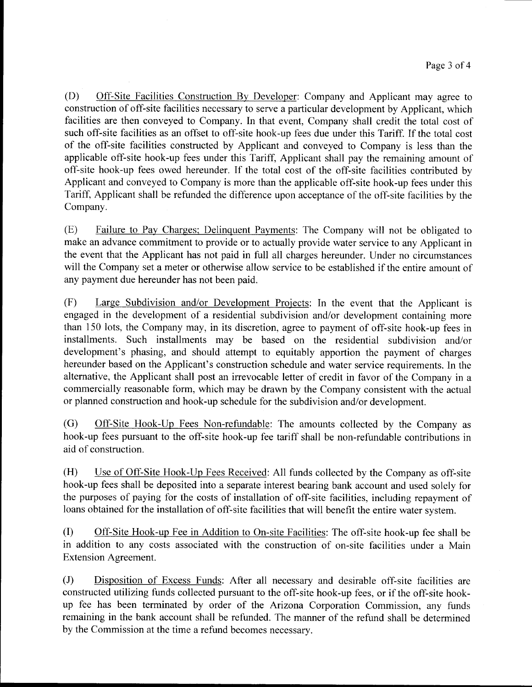(D) Off-Site Facilities Construction By Developer: Company and Applicant may agree to construction of off-site facilities necessary to serve a particular development by Applicant, which facilities are then conveyed to Company. In that event, Company shall credit the total cost of such off-site facilities as an offset to off-site hook-up fees due under this Tariff. If the total cost of the off-site facilities constructed by Applicant and conveyed to Company is less than the applicable off-site hook-up fees under this Tariff, Applicant shall pay the remaining amount of off-site hook-up fees owed hereunder. If the total cost of the off-site facilities contributed by Applicant and conveyed to Company is more than the applicable off-site hook-up fees under this Tariff, Applicant shall be refunded the difference upon acceptance of the off-site facilities by the Company.

(E) Failure to Pay Charges, Delinquent Payments: The Company will not be obligated to make an advance commitment to provide or to actually provide water service to any Applicant in the event that the Applicant has not paid in full all charges hereunder. Under no circumstances will the Company set a meter or otherwise allow service to be established if the entire amount of any payment due hereunder has not been paid.

(F) Large Subdivision and/or Development Projects: In the event that the Applicant is engaged in the development of a residential subdivision and/or development containing more than 150 lots, the Company may, in its discretion, agree to payment of off-site hook-up fees in installments. Such installments may be based on the residential subdivision and/or development's phasing, and should attempt to equitably apportion the payment of charges hereunder based on the Applicant's construction schedule and water service requirements. In the alternative, the Applicant shall post an irrevocable letter of credit in favor of the Company in a commercially reasonable form, which may be drawn by the Company consistent with the actual or planned construction and hook-up schedule for the subdivision and/or development.

(G) Off-Site Hook-Up Fees Non-refundable: The amounts collected by the Company as hook-up fees pursuant to the off-site hook-up fee tariff shall be non-refundable contributions in aid of construction.

(H) Use of Off-Site Hook-Up Fees Received: All funds collected by the Company as off-site hook-up fees shall be deposited into a separate interest bearing bank account and used solely for the purposes of paying for the costs of installation of off-site facilities, including repayment of loans obtained for the installation of off-site facilities that will benefit the entire water system.

(I) Off-Site Hook-up Fee in Addition to On-site Facilities: The off-site hook-up fee shall be in addition to any costs associated with the construction of on-site facilities under a Main Extension Agreement.

(J) Disposition of Excess Funds: After all necessary and desirable off-site facilities are constructed utilizing funds collected pursuant to the off-site hook-up fees, or if the off-site hookup fee has been terminated by order of the Arizona Corporation Commission, any funds remaining in the bank account shall be refunded. The manner of the refund shall be determined by the Commission at the time a refund becomes necessary.

**al Illllll**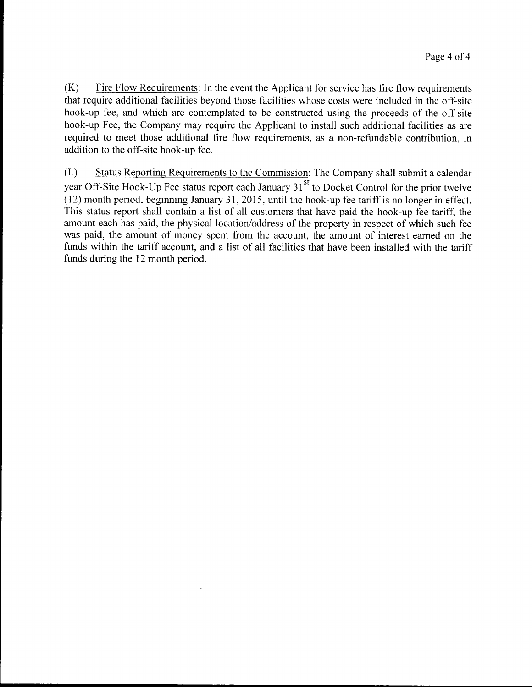$(K)$  Fire Flow Requirements: In the event the Applicant for service has fire flow requirements that require additional facilities beyond those facilities whose costs were included in the off-site hook-up fee, and which are contemplated to be constructed using the proceeds of the off-site hook-up Fee, the Company may require the Applicant to install such additional facilities as are required to meet those additional fire flow requirements, as a non-refundable contribution, in addition to the off-site hook-up fee.

(L) Status Reporting Requirements to the Commission: The Company shall submit a calendar year Off-Site Hook-Up Fee status report each January  $31<sup>st</sup>$  to Docket Control for the prior twelve (12) month period, beginning January 31, 2015, until the hook-up fee tariff is no longer in effect. This status report shall contain a list of all customers that have paid the hook-up fee tariff, the amount each has paid, the physical location/address of the property in respect of which such fee was paid, the amount of money spent from the account, the amount of interest earned on the funds within the tariff account, and a list of all facilities that have been installed with the tariff funds during the 12 month period.

**\_11IIII I**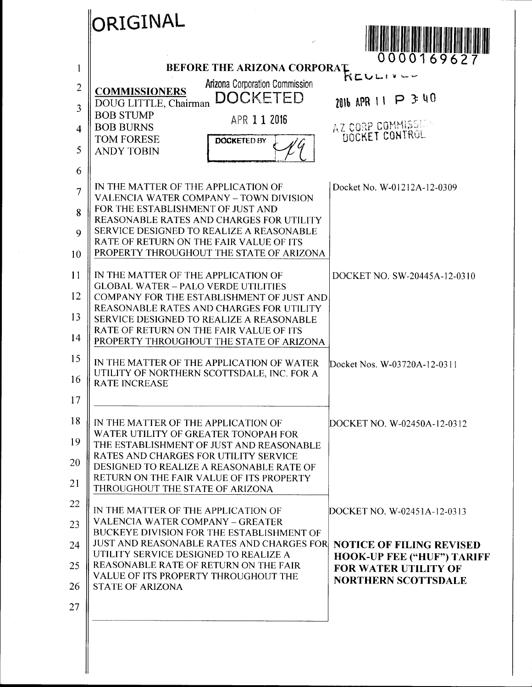|                         | ORIGINAL                                                                                           |                                                           |
|-------------------------|----------------------------------------------------------------------------------------------------|-----------------------------------------------------------|
|                         |                                                                                                    | 0000169627                                                |
| 1                       | <b>BEFORE THE ARIZONA CORPORAT</b>                                                                 | ドヒハ                                                       |
| $\overline{2}$<br>3     | Arizona Corporation Commission<br><b>COMMISSIONERS</b><br><b>DOCKETED</b><br>DOUG LITTLE, Chairman | 2016 APR 11 P 3 40                                        |
|                         | <b>BOB STUMP</b><br>APR 1 1 2016                                                                   |                                                           |
| $\overline{\mathbf{4}}$ | <b>BOB BURNS</b><br><b>TOM FORESE</b><br><b>DOCKETED BY</b>                                        | AZ CORP COMMISSION<br>DOCKET CONTROL                      |
| 5                       | <b>ANDY TOBIN</b>                                                                                  |                                                           |
| 6                       |                                                                                                    |                                                           |
| $\overline{7}$          | IN THE MATTER OF THE APPLICATION OF<br><b>VALENCIA WATER COMPANY - TOWN DIVISION</b>               | Docket No. W-01212A-12-0309                               |
| 8                       | FOR THE ESTABLISHMENT OF JUST AND                                                                  |                                                           |
| 9                       | REASONABLE RATES AND CHARGES FOR UTILITY<br>SERVICE DESIGNED TO REALIZE A REASONABLE               |                                                           |
|                         | RATE OF RETURN ON THE FAIR VALUE OF ITS                                                            |                                                           |
| 10                      | PROPERTY THROUGHOUT THE STATE OF ARIZONA                                                           |                                                           |
| 11                      | IN THE MATTER OF THE APPLICATION OF                                                                | DOCKET NO. SW-20445A-12-0310                              |
| 12                      | <b>GLOBAL WATER - PALO VERDE UTILITIES</b><br>COMPANY FOR THE ESTABLISHMENT OF JUST AND            |                                                           |
|                         | REASONABLE RATES AND CHARGES FOR UTILITY                                                           |                                                           |
| 13                      | SERVICE DESIGNED TO REALIZE A REASONABLE<br>RATE OF RETURN ON THE FAIR VALUE OF ITS                |                                                           |
| 14                      | PROPERTY THROUGHOUT THE STATE OF ARIZONA                                                           |                                                           |
| 15                      | IN THE MATTER OF THE APPLICATION OF WATER                                                          | Docket Nos. W-03720A-12-0311                              |
| 16                      | UTILITY OF NORTHERN SCOTTSDALE, INC. FOR A<br><b>RATE INCREASE</b>                                 |                                                           |
| 17                      |                                                                                                    |                                                           |
| 18                      | IN THE MATTER OF THE APPLICATION OF                                                                | DOCKET NO. W-02450A-12-0312                               |
| 19                      | WATER UTILITY OF GREATER TONOPAH FOR<br>THE ESTABLISHMENT OF JUST AND REASONABLE                   |                                                           |
| 20                      | RATES AND CHARGES FOR UTILITY SERVICE<br>DESIGNED TO REALIZE A REASONABLE RATE OF                  |                                                           |
| 21                      | RETURN ON THE FAIR VALUE OF ITS PROPERTY                                                           |                                                           |
|                         | THROUGHOUT THE STATE OF ARIZONA                                                                    |                                                           |
| 22                      | IN THE MATTER OF THE APPLICATION OF                                                                | DOCKET NO. W-02451A-12-0313                               |
| 23                      | VALENCIA WATER COMPANY - GREATER<br>BUCKEYE DIVISION FOR THE ESTABLISHMENT OF                      |                                                           |
| 24                      | <b>JUST AND REASONABLE RATES AND CHARGES FOR</b>                                                   | <b>NOTICE OF FILING REVISED</b>                           |
| 25                      | UTILITY SERVICE DESIGNED TO REALIZE A<br>REASONABLE RATE OF RETURN ON THE FAIR                     | <b>HOOK-UP FEE ("HUF") TARIFF</b>                         |
|                         | VALUE OF ITS PROPERTY THROUGHOUT THE                                                               | <b>FOR WATER UTILITY OF</b><br><b>NORTHERN SCOTTSDALE</b> |
| 26                      | <b>STATE OF ARIZONA</b>                                                                            |                                                           |
| 27                      |                                                                                                    |                                                           |
|                         |                                                                                                    |                                                           |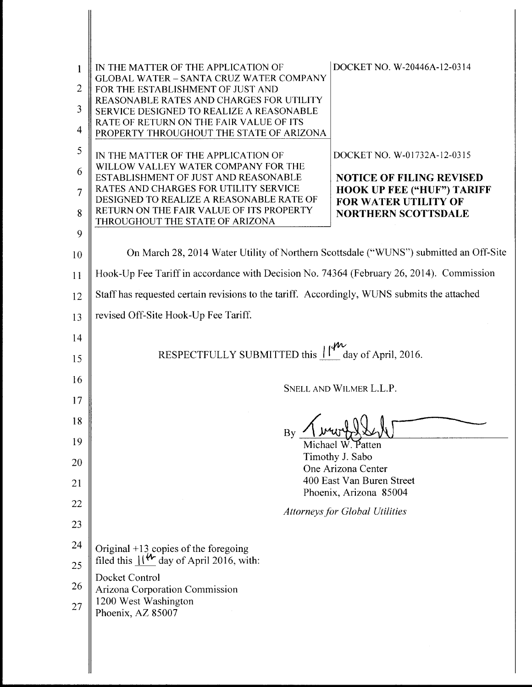| 1<br>2 | IN THE MATTER OF THE APPLICATION OF<br><b>GLOBAL WATER - SANTA CRUZ WATER COMPANY</b><br>FOR THE ESTABLISHMENT OF JUST AND      | DOCKET NO. W-20446A-12-0314                                      |  |
|--------|---------------------------------------------------------------------------------------------------------------------------------|------------------------------------------------------------------|--|
| 3<br>4 | REASONABLE RATES AND CHARGES FOR UTILITY<br>SERVICE DESIGNED TO REALIZE A REASONABLE<br>RATE OF RETURN ON THE FAIR VALUE OF ITS |                                                                  |  |
| 5      | PROPERTY THROUGHOUT THE STATE OF ARIZONA                                                                                        | DOCKET NO. W-01732A-12-0315                                      |  |
| 6      | IN THE MATTER OF THE APPLICATION OF<br>WILLOW VALLEY WATER COMPANY FOR THE<br>ESTABLISHMENT OF JUST AND REASONABLE              | <b>NOTICE OF FILING REVISED</b>                                  |  |
| 7      | RATES AND CHARGES FOR UTILITY SERVICE<br>DESIGNED TO REALIZE A REASONABLE RATE OF                                               | <b>HOOK UP FEE ("HUF") TARIFF</b><br><b>FOR WATER UTILITY OF</b> |  |
| 8      | RETURN ON THE FAIR VALUE OF ITS PROPERTY<br>THROUGHOUT THE STATE OF ARIZONA                                                     | <b>NORTHERN SCOTTSDALE</b>                                       |  |
| 9      |                                                                                                                                 |                                                                  |  |
| 10     | On March 28, 2014 Water Utility of Northern Scottsdale ("WUNS") submitted an Off-Site                                           |                                                                  |  |
| 11     | Hook-Up Fee Tariff in accordance with Decision No. 74364 (February 26, 2014). Commission                                        |                                                                  |  |
| 12     | Staff has requested certain revisions to the tariff. Accordingly, WUNS submits the attached                                     |                                                                  |  |
| 13     | revised Off-Site Hook-Up Fee Tariff.                                                                                            |                                                                  |  |
| 14     |                                                                                                                                 |                                                                  |  |
| 15     | RESPECTFULLY SUBMITTED this $\begin{bmatrix} 1 \\ 1 \end{bmatrix}$ day of April, 2016.                                          |                                                                  |  |
| 16     | SNELL AND WILMER L.L.P.                                                                                                         |                                                                  |  |
| 17     |                                                                                                                                 |                                                                  |  |
| 18     | By                                                                                                                              |                                                                  |  |
| 19     | Timothy J. Sabo                                                                                                                 | Michael W. Patten                                                |  |
| 20     |                                                                                                                                 | One Arizona Center                                               |  |
| 21     |                                                                                                                                 | 400 East Van Buren Street<br>Phoenix, Arizona 85004              |  |
| 22     |                                                                                                                                 | <b>Attorneys for Global Utilities</b>                            |  |
| 23     |                                                                                                                                 |                                                                  |  |
| 24     | Original $+13$ copies of the foregoing<br>filed this $\mathcal{W}$ day of April 2016, with:                                     |                                                                  |  |
| 25     | Docket Control                                                                                                                  |                                                                  |  |
| 26     | Arizona Corporation Commission                                                                                                  |                                                                  |  |
| 27     | 1200 West Washington<br>Phoenix, AZ 85007                                                                                       |                                                                  |  |
|        |                                                                                                                                 |                                                                  |  |

 $\sim 10^6$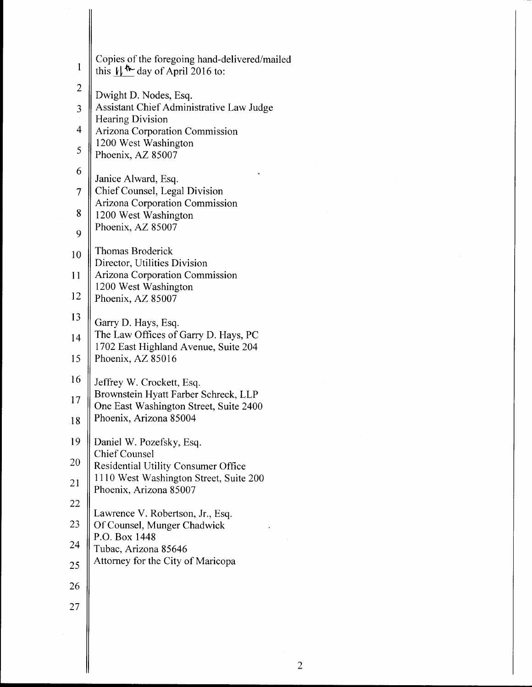| $\mathbf{1}$            | Copies of the foregoing hand-delivered/mailed<br>this $\sqrt{\mathbf{w}}$ day of April 2016 to: |
|-------------------------|-------------------------------------------------------------------------------------------------|
| $\overline{\mathbf{c}}$ | Dwight D. Nodes, Esq.                                                                           |
| 3                       | Assistant Chief Administrative Law Judge                                                        |
| $\overline{4}$          | Hearing Division<br>Arizona Corporation Commission                                              |
| 5                       | 1200 West Washington<br>Phoenix, AZ 85007                                                       |
| 6                       | Janice Alward, Esq.                                                                             |
| $\overline{7}$          | Chief Counsel, Legal Division                                                                   |
| 8                       | Arizona Corporation Commission<br>1200 West Washington                                          |
| 9                       | Phoenix, AZ 85007                                                                               |
| 10                      | <b>Thomas Broderick</b><br>Director, Utilities Division                                         |
| 11                      | <b>Arizona Corporation Commission</b>                                                           |
| 12                      | 1200 West Washington<br>Phoenix, AZ 85007                                                       |
| 13                      | Garry D. Hays, Esq.                                                                             |
| 14                      | The Law Offices of Garry D. Hays, PC                                                            |
| 15                      | 1702 East Highland Avenue, Suite 204<br>Phoenix, AZ 85016                                       |
| 16                      | Jeffrey W. Crockett, Esq.                                                                       |
| 17                      | Brownstein Hyatt Farber Schreck, LLP<br>One East Washington Street, Suite 2400                  |
| 18                      | Phoenix, Arizona 85004                                                                          |
| 19                      | Daniel W. Pozefsky, Esq.                                                                        |
| 20                      | <b>Chief Counsel</b><br><b>Residential Utility Consumer Office</b>                              |
| 21                      | 1110 West Washington Street, Suite 200<br>Phoenix, Arizona 85007                                |
| 22                      |                                                                                                 |
| 23                      | Lawrence V. Robertson, Jr., Esq.<br>Of Counsel, Munger Chadwick                                 |
| 24                      | P.O. Box 1448<br>Tubac, Arizona 85646                                                           |
| 25                      | Attorney for the City of Maricopa                                                               |
| 26                      |                                                                                                 |
| 27                      |                                                                                                 |
|                         |                                                                                                 |

**lllll I**